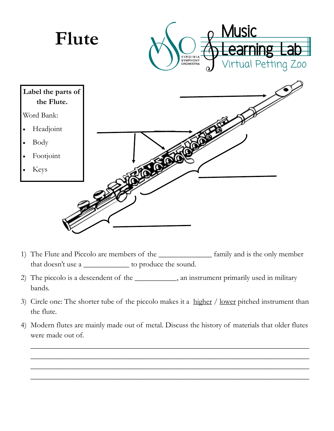

- 1) The Flute and Piccolo are members of the \_\_\_\_\_\_\_\_\_\_\_\_\_\_ family and is the only member that doesn't use a \_\_\_\_\_\_\_\_\_\_\_\_ to produce the sound.
- 2) The piccolo is a descendent of the \_\_\_\_\_\_\_\_\_\_, an instrument primarily used in military bands.
- 3) Circle one: The shorter tube of the piccolo makes it a higher / lower pitched instrument than the flute.
- 4) Modern flutes are mainly made out of metal. Discuss the history of materials that older flutes were made out of.

\_\_\_\_\_\_\_\_\_\_\_\_\_\_\_\_\_\_\_\_\_\_\_\_\_\_\_\_\_\_\_\_\_\_\_\_\_\_\_\_\_\_\_\_\_\_\_\_\_\_\_\_\_\_\_\_\_\_\_\_\_\_\_\_\_\_\_\_\_\_\_\_\_ \_\_\_\_\_\_\_\_\_\_\_\_\_\_\_\_\_\_\_\_\_\_\_\_\_\_\_\_\_\_\_\_\_\_\_\_\_\_\_\_\_\_\_\_\_\_\_\_\_\_\_\_\_\_\_\_\_\_\_\_\_\_\_\_\_\_\_\_\_\_\_\_\_ \_\_\_\_\_\_\_\_\_\_\_\_\_\_\_\_\_\_\_\_\_\_\_\_\_\_\_\_\_\_\_\_\_\_\_\_\_\_\_\_\_\_\_\_\_\_\_\_\_\_\_\_\_\_\_\_\_\_\_\_\_\_\_\_\_\_\_\_\_\_\_\_\_ \_\_\_\_\_\_\_\_\_\_\_\_\_\_\_\_\_\_\_\_\_\_\_\_\_\_\_\_\_\_\_\_\_\_\_\_\_\_\_\_\_\_\_\_\_\_\_\_\_\_\_\_\_\_\_\_\_\_\_\_\_\_\_\_\_\_\_\_\_\_\_\_\_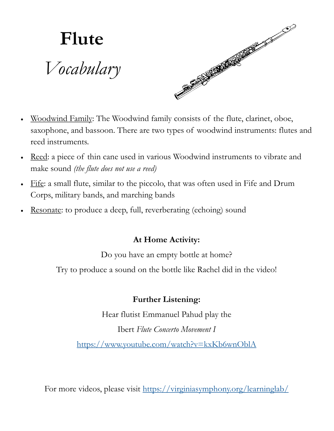

- Woodwind Family: The Woodwind family consists of the flute, clarinet, oboe, saxophone, and bassoon. There are two types of woodwind instruments: flutes and reed instruments.
- Reed: a piece of thin cane used in various Woodwind instruments to vibrate and make sound *(the flute does not use a reed)*
- Fife: a small flute, similar to the piccolo, that was often used in Fife and Drum Corps, military bands, and marching bands
- Resonate: to produce a deep, full, reverberating (echoing) sound

## **At Home Activity:**

Do you have an empty bottle at home?

Try to produce a sound on the bottle like Rachel did in the video!

## **Further Listening:**

Hear flutist Emmanuel Pahud play the

Ibert *Flute Concerto Movement I*

<https://www.youtube.com/watch?v=kxKb6wnOblA>

For more videos, please visit <https://virginiasymphony.org/learninglab/>